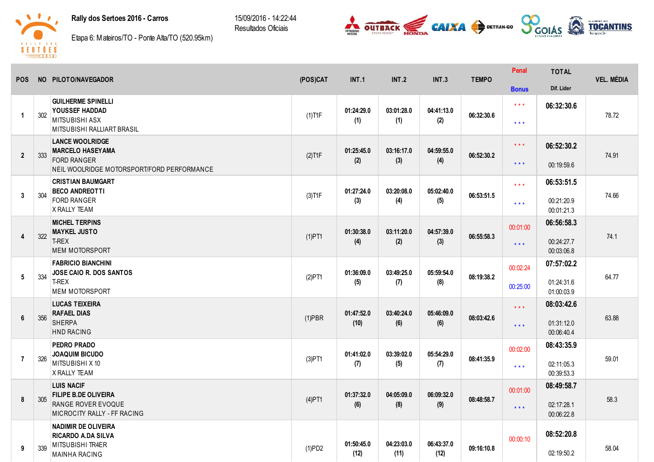## Rally dos Sertoes 2016 - Carros

15/09/2016 - 14:22:44 Resultados Oficiais





Etapa 6: Mateiros/TO - Ponte Alta/TO (520.95km)

| <b>POS</b>              |     | NO PILOTO/NAVEGADOR                                                                                   | (POS)CAT  | <b>INT.1</b>       | <b>INT.2</b>       | INT.3              | <b>TEMPO</b> | Penal                   | <b>TOTAL</b>             | <b>VEL. MÉDIA</b> |
|-------------------------|-----|-------------------------------------------------------------------------------------------------------|-----------|--------------------|--------------------|--------------------|--------------|-------------------------|--------------------------|-------------------|
|                         |     |                                                                                                       |           |                    |                    |                    |              | <b>Bonus</b>            | Dif. Lider               |                   |
| $\overline{\mathbf{1}}$ | 302 | <b>GUILHERME SPINELLI</b><br><b>YOUSSEF HADDAD</b>                                                    | $(1)$ T1F | 01:24:29.0         | 03:01:28.0         | 04:41:13.0         | 06:32:30.6   | $* * *$                 | 06:32:30.6               | 78.72             |
|                         |     | <b>MITSUBISHI ASX</b><br>MITSUBISHI RALLIART BRASIL                                                   |           | (1)                | (1)                | (2)                |              | $***$                   |                          |                   |
| $\overline{2}$          | 333 | <b>LANCE WOOLRIDGE</b><br><b>MARCELO HASEYAMA</b>                                                     | $(2)$ T1F | 01:25:45.0         | 03:16:17.0         | 04:59:55.0         | 06:52:30.2   | $\star$ $\star$ $\star$ | 06:52:30.2               | 74.91             |
|                         |     | <b>FORD RANGER</b><br>NEIL WOOLRIDGE MOTORSPORT/FORD PERFORMANCE                                      |           | (2)                | (3)                | (4)                |              | $***$                   | 00:19:59.6               |                   |
|                         |     | <b>CRISTIAN BAUMGART</b><br><b>BECO ANDREOTTI</b>                                                     |           | 01:27:24.0         | 03:20:08.0         | 05:02:40.0         |              | $\star \star \star$     | 06:53:51.5               |                   |
| 3                       | 304 | <b>FORD RANGER</b><br>X RALLY TEAM                                                                    | $(3)$ T1F | (3)                | (4)                | (5)                | 06:53:51.5   | $***$                   | 00:21:20.9<br>00:01:21.3 | 74.66             |
|                         |     | <b>MICHEL TERPINS</b><br><b>MAYKEL JUSTO</b>                                                          |           | 01:30:38.0         | 03:11:20.0         | 04:57:39.0         |              | 00:01:00                | 06:56:58.3               |                   |
| 4                       | 322 | <b>T-REX</b><br><b>MEM MOTORSPORT</b>                                                                 | $(1)$ PT1 | (4)                | (2)                | (3)                | 06:55:58.3   | $\star\star\star$       | 00:24:27.7<br>00:03:06.8 | 74.1              |
|                         |     | <b>FABRICIO BIANCHINI</b><br><b>JOSE CAIO R. DOS SANTOS</b><br>T-REX<br><b>MEM MOTORSPORT</b>         | (2)PT1    | 01:36:09.0<br>(5)  | 03:49:25.0<br>(7)  | 05:59:54.0<br>(8)  | 08:19:38.2   | 00:02:24                | 07:57:02.2               | 64.77             |
| $5\phantom{.0}$         | 334 |                                                                                                       |           |                    |                    |                    |              | 00:25:00                | 01:24:31.6<br>01:00:03.9 |                   |
|                         |     | <b>LUCAS TEIXEIRA</b><br><b>RAFAEL DIAS</b>                                                           |           | 01:47:52.0         | 03:40:24.0         | 05:46:09.0         |              | $***$                   | 08:03:42.6               |                   |
| 6                       | 356 | <b>SHERPA</b><br><b>HND RACING</b>                                                                    | $(1)$ PBR | (10)               | (6)                | (6)                | 08:03:42.6   | $***$                   | 01:31:12.0<br>00:06:40.4 | 63.88             |
|                         |     | PEDRO PRADO<br><b>JOAQUIM BICUDO</b>                                                                  |           | 01:41:02.0         | 03:39:02.0         | 05:54:29.0         |              | 00:02:00                | 08:43:35.9               |                   |
| $\overline{7}$          | 326 | MITSUBISHI X10<br><b>X RALLY TEAM</b>                                                                 | $(3)$ PT1 | (7)                | (5)                | (7)                | 08:41:35.9   | $* * *$                 | 02:11:05.3<br>00:39:53.3 | 59.01             |
| 8                       |     | <b>LUIS NACIF</b><br><b>FILIPE B.DE OLIVEIRA</b><br>RANGE ROVER EVOQUE<br>MICROCITY RALLY - FF RACING | $(4)$ PT1 | 01:37:32.0<br>(6)  | 04:05:09.0<br>(8)  | 06:09:32.0<br>(9)  |              | 00:01:00                | 08:49:58.7               |                   |
|                         | 305 |                                                                                                       |           |                    |                    |                    | 08:48:58.7   | $***$                   | 02:17:28.1<br>00:06:22.8 | 58.3              |
|                         |     | <b>NADIMIR DE OLIVEIRA</b><br><b>RICARDO A.DA SILVA</b>                                               |           |                    |                    |                    |              |                         | 08:52:20.8               |                   |
| 9                       | 339 | MITSUBISHI TR4ER<br><b>MAINHA RACING</b>                                                              | (1)PD2    | 01:50:45.0<br>(12) | 04:23:03.0<br>(11) | 06:43:37.0<br>(12) | 09:16:10.8   | 00:00:10                | 02:19:50.2               | 58.04             |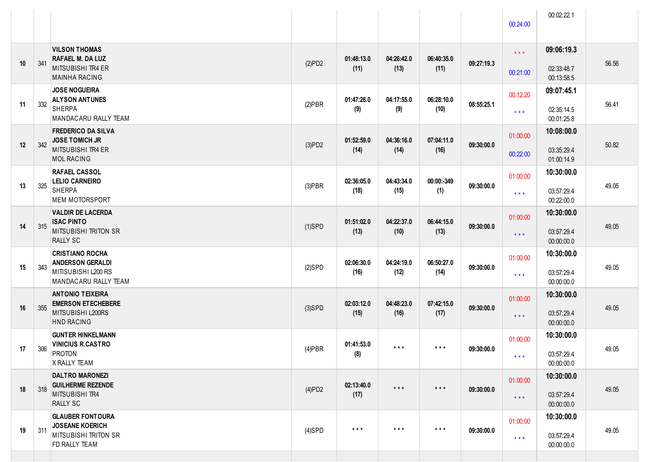|    |     |                                                                                                   |           |                         |                         |                         |            | 00:24:00                            | 00:02:22.1                             |       |
|----|-----|---------------------------------------------------------------------------------------------------|-----------|-------------------------|-------------------------|-------------------------|------------|-------------------------------------|----------------------------------------|-------|
| 10 | 341 | <b>VILSON THOMAS</b><br>RAFAEL M. DA LUZ<br><b>MITSUBISHI TR4 ER</b><br><b>MAINHA RACING</b>      | (2)PD2    | 01:48:13.0<br>(11)      | 04:26:42.0<br>(13)      | 06:40:35.0<br>(11)      | 09:27:19.3 | $\star$ $\star$ $\star$<br>00:21:00 | 09:06:19.3<br>02:33:48.7<br>00:13:58.5 | 56.56 |
| 11 | 332 | <b>JOSE NOGUEIRA</b><br><b>ALYSON ANTUNES</b><br><b>SHERPA</b><br>MANDACARU RALLY TEAM            | $(2)$ PBR | 01:47:26.0<br>(9)       | 04:17:55.0<br>(9)       | 06:28:10.0<br>(10)      | 08:55:25.1 | 00:12:20<br>$***$                   | 09:07:45.1<br>02:35:14.5<br>00:01:25.8 | 56.41 |
| 12 | 342 | <b>FREDERICO DA SILVA</b><br><b>JOSE TOMICH JR</b><br>MITSUBISHI TR4 ER<br><b>MOL RACING</b>      | (3)PD2    | 01:52:59.0<br>(14)      | 04:36:16.0<br>(14)      | 07:04:11.0<br>(16)      | 09:30:00.0 | 01:00:00<br>00:22:00                | 10:08:00.0<br>03:35:29.4<br>01:00:14.9 | 50.82 |
| 13 | 325 | <b>RAFAEL CASSOL</b><br><b>LELIO CARNEIRO</b><br><b>SHERPA</b><br><b>MEM MOTORSPORT</b>           | $(3)$ PBR | 02:36:05.0<br>(18)      | 04:43:34.0<br>(15)      | 00:00:-349<br>(1)       | 09:30:00.0 | 01:00:00<br>$***$                   | 10:30:00.0<br>03:57:29.4<br>00:22:00.0 | 49.05 |
| 14 | 315 | <b>VALDIR DE LACERDA</b><br><b>ISAC PINTO</b><br><b>MITSUBISHI TRITON SR</b><br><b>RALLY SC</b>   | $(1)$ SPD | 01:51:02.0<br>(13)      | 04:22:37.0<br>(10)      | 06:44:15.0<br>(13)      | 09:30:00.0 | 01:00:00<br>$***$                   | 10:30:00.0<br>03:57:29.4<br>00:00:00.0 | 49.05 |
| 15 | 343 | <b>CRISTIANO ROCHA</b><br><b>ANDERSON GERALDI</b><br>MITISUBISHI L200 RS<br>MANDACARU RALLY TEAM  | $(2)$ SPD | 02:06:30.0<br>(16)      | 04:24:19.0<br>(12)      | 06:50:27.0<br>(14)      | 09:30:00.0 | 01:00:00<br>$***$                   | 10:30:00.0<br>03:57:29.4<br>00:00:00.0 | 49.05 |
| 16 | 355 | <b>ANTONIO TEIXEIRA</b><br><b>EMERSON ET ECHEBERE</b><br>MITSUBISHI L200RS<br><b>HND RACING</b>   | $(3)$ SPD | 02:03:12.0<br>(15)      | 04:48:23.0<br>(16)      | 07:42:15.0<br>(17)      | 09:30:00.0 | 01:00:00<br>$***$                   | 10:30:00.0<br>03:57:29.4<br>00:00:00.0 | 49.05 |
| 17 | 306 | <b>GUNTER HINKELMANN</b><br><b>VINICIUS R.CASTRO</b><br><b>PROTON</b><br>X RALLY TEAM             | $(4)$ PBR | 01:41:53.0<br>(8)       | $\star$ $\star$ $\star$ | $***$                   | 09:30:00.0 | 01:00:00<br>* * *                   | 10:30:00.0<br>03:57:29.4<br>00:00:00.0 | 49.05 |
| 18 | 318 | <b>DALTRO MARONEZI</b><br><b>GUILHERME REZENDE</b><br>MITSUBISHI TR4<br><b>RALLY SC</b>           | (4)PD2    | 02:13:40.0<br>(17)      | $\star$ $\star$ $\star$ | $\star$ $\star$ $\star$ | 09:30:00.0 | 01:00:00<br>$\star$ $\star$ $\star$ | 10:30:00.0<br>03:57:29.4<br>00:00:00.0 | 49.05 |
| 19 | 311 | <b>GLAUBER FONTOURA</b><br><b>JOSEANE KOERICH</b><br><b>MITSUBISHI TRITON SR</b><br>FD RALLY TEAM | $(4)$ SPD | $\star$ $\star$ $\star$ | $\star$ $\star$ $\star$ | $\star$ $\star$ $\star$ | 09:30:00.0 | 01:00:00<br>$\star$ $\star$ $\star$ | 10:30:00.0<br>03:57:29.4<br>00:00:00.0 | 49.05 |
|    |     |                                                                                                   |           |                         |                         |                         |            |                                     |                                        |       |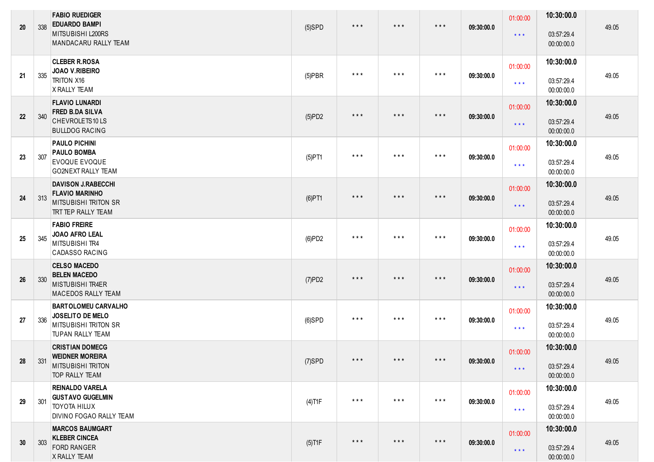| 20              | 338 | <b>FABIO RUEDIGER</b><br><b>EDUARDO BAMPI</b><br>MITSUBISHI L200RS<br>MANDACARU RALLY TEAM                     | $(5)$ SPD | $\star$ $\star$ $\star$ | $\star$ $\star$ $\star$ | $***$                   | 09:30:00.0 | 01:00:00<br>$\star$ $\star$ $\star$ | 10:30:00.0<br>03:57:29.4<br>00:00:00.0 | 49.05 |
|-----------------|-----|----------------------------------------------------------------------------------------------------------------|-----------|-------------------------|-------------------------|-------------------------|------------|-------------------------------------|----------------------------------------|-------|
| 21              | 335 | <b>CLEBER R.ROSA</b><br>JOAO V.RIBEIRO<br><b>TRITON X16</b><br>X RALLY TEAM                                    | $(5)$ PBR | $***$                   | $***$                   | $***$                   | 09:30:00.0 | 01:00:00<br>$\star\star\star$       | 10:30:00.0<br>03:57:29.4<br>00:00:00.0 | 49.05 |
| 22              | 340 | <b>FLAVIO LUNARDI</b><br><b>FRED B.DA SILVA</b><br>CHEVROLETS10LS<br><b>BULLDOG RACING</b>                     | (5)PD2    | $\star$ $\star$ $\star$ | $***$                   | $***$                   | 09:30:00.0 | 01:00:00<br>$***$                   | 10:30:00.0<br>03:57:29.4<br>00:00:00.0 | 49.05 |
| 23              | 307 | <b>PAULO PICHINI</b><br><b>PAULO BOMBA</b><br><b>EVOQUE EVOQUE</b><br><b>GO2NEXT RALLY TEAM</b>                | $(5)$ PT1 | $\star$ $\star$ $\star$ | $***$                   | $***$                   | 09:30:00.0 | 01:00:00<br>$\star\star\star$       | 10:30:00.0<br>03:57:29.4<br>00:00:00.0 | 49.05 |
| 24              | 313 | <b>DAVISON J.RABECCHI</b><br><b>FLAVIO MARINHO</b><br><b>MITSUBISHI TRITON SR</b><br><b>TRT TEP RALLY TEAM</b> | $(6)$ PT1 | $***$                   | $***$                   | $***$                   | 09:30:00.0 | 01:00:00<br>$***$                   | 10:30:00.0<br>03:57:29.4<br>00:00:00.0 | 49.05 |
| 25              | 345 | <b>FABIO FREIRE</b><br><b>JOAO AFRO LEAL</b><br>MITSUBISHI TR4<br><b>CADASSO RACING</b>                        | (6)PD2    | $\star$ $\star$ $\star$ | $***$                   | $***$                   | 09:30:00.0 | 01:00:00<br>$\star\star\star$       | 10:30:00.0<br>03:57:29.4<br>00:00:00.0 | 49.05 |
| 26              | 330 | <b>CELSO MACEDO</b><br><b>BELEN MACEDO</b><br><b>MISTUBISHI TR4ER</b><br><b>MACEDOS RALLY TEAM</b>             | (7)PD2    | $\star$ $\star$ $\star$ | $***$                   | $\star$ $\star$ $\star$ | 09:30:00.0 | 01:00:00<br>$***$                   | 10:30:00.0<br>03:57:29.4<br>00:00:00.0 | 49.05 |
| 27              | 336 | <b>BARTOLOMEU CARVALHO</b><br>JOSELITO DE MELO<br><b>MITSUBISHI TRITON SR</b><br><b>TUPAN RALLY TEAM</b>       | $(6)$ SPD | $***$                   | $***$                   | $***$                   | 09:30:00.0 | 01:00:00<br>$***$                   | 10:30:00.0<br>03:57:29.4<br>00:00:00.0 | 49.05 |
| 28              | 331 | <b>CRISTIAN DOMECG</b><br><b>WEIDNER MOREIRA</b><br><b>MITSUBISHI TRITON</b><br><b>TOP RALLY TEAM</b>          | (7)SPD    | * * *                   | * * *                   | * * *                   | 09:30:00.0 | 01:00:00<br>$***$                   | 10:30:00.0<br>03:57:29.4<br>00:00:00.0 | 49.05 |
| 29              | 301 | <b>REINALDO VARELA</b><br><b>GUSTAVO GUGELMIN</b><br><b>TOYOTA HILUX</b><br><b>DIVINO FOGAO RALLY TEAM</b>     | $(4)$ T1F | $\star$ $\star$ $\star$ | $\star$ $\star$ $\star$ | $\star$ $\star$ $\star$ | 09:30:00.0 | 01:00:00<br>$\star\star\star$       | 10:30:00.0<br>03:57:29.4<br>00:00:00.0 | 49.05 |
| 30 <sup>°</sup> | 303 | <b>MARCOS BAUMGART</b><br><b>KLEBER CINCEA</b><br><b>FORD RANGER</b><br>X RALLY TEAM                           | $(5)$ T1F | $\star$ $\star$ $\star$ | $\star$ $\star$ $\star$ | $***$                   | 09:30:00.0 | 01:00:00<br>$\star$ $\star$ $\star$ | 10:30:00.0<br>03:57:29.4<br>00:00:00.0 | 49.05 |